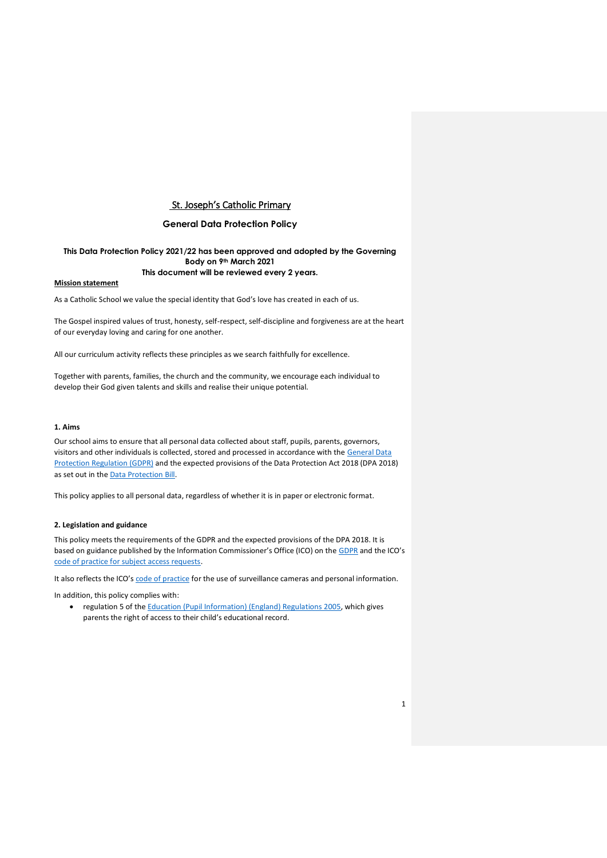### **General Data Protection Policy**

### **This Data Protection Policy 2021/22 has been approved and adopted by the Governing Body on 9th March 2021 This document will be reviewed every 2 years.**

#### **Mission statement**

As a Catholic School we value the special identity that God's love has created in each of us.

The Gospel inspired values of trust, honesty, self-respect, self-discipline and forgiveness are at the heart of our everyday loving and caring for one another.

All our curriculum activity reflects these principles as we search faithfully for excellence.

Together with parents, families, the church and the community, we encourage each individual to develop their God given talents and skills and realise their unique potential.

#### **1. Aims**

Our school aims to ensure that all personal data collected about staff, pupils, parents, governors, visitors and other individuals is collected, stored and processed in accordance with the [General Data](http://data.consilium.europa.eu/doc/document/ST-5419-2016-INIT/en/pdf)  [Protection Regulation \(GDPR\)](http://data.consilium.europa.eu/doc/document/ST-5419-2016-INIT/en/pdf) and the expected provisions of the Data Protection Act 2018 (DPA 2018) as set out in the **Data Protection Bill**.

This policy applies to all personal data, regardless of whether it is in paper or electronic format.

#### **2. Legislation and guidance**

This policy meets the requirements of the GDPR and the expected provisions of the DPA 2018. It is based on guidance published by the Information Commissioner's Office (ICO) on the [GDPR](https://ico.org.uk/for-organisations/guide-to-the-general-data-protection-regulation-gdpr/) and the ICO's [code of practice for subject access requests.](https://ico.org.uk/media/for-organisations/documents/2014223/subject-access-code-of-practice.pdf)

It also reflects the ICO's [code of practice](https://ico.org.uk/media/for-organisations/documents/1542/cctv-code-of-practice.pdf) for the use of surveillance cameras and personal information.

In addition, this policy complies with:

 regulation 5 of th[e Education \(Pupil Information\) \(England\) Regulations 2005,](http://www.legislation.gov.uk/uksi/2005/1437/regulation/5/made) which gives parents the right of access to their child's educational record.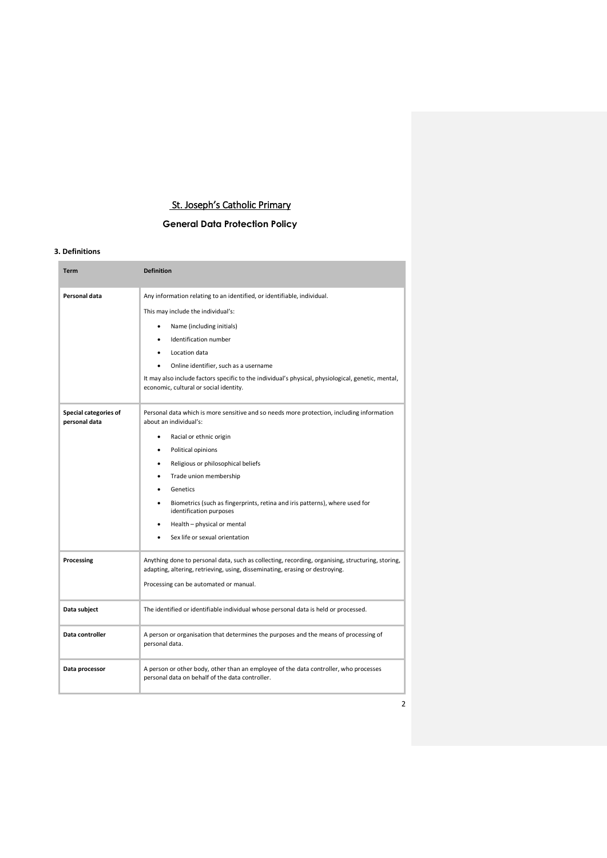# **General Data Protection Policy**

### **3. Definitions**

| <b>Term</b>                            | <b>Definition</b>                                                                                                                                                                                                                                                                                                                                                                                                                                       |
|----------------------------------------|---------------------------------------------------------------------------------------------------------------------------------------------------------------------------------------------------------------------------------------------------------------------------------------------------------------------------------------------------------------------------------------------------------------------------------------------------------|
| Personal data                          | Any information relating to an identified, or identifiable, individual.<br>This may include the individual's:<br>Name (including initials)<br>٠<br>Identification number<br>Location data<br>Online identifier, such as a username<br>$\bullet$<br>It may also include factors specific to the individual's physical, physiological, genetic, mental,<br>economic, cultural or social identity.                                                         |
| Special categories of<br>personal data | Personal data which is more sensitive and so needs more protection, including information<br>about an individual's:<br>Racial or ethnic origin<br>٠<br>Political opinions<br>Religious or philosophical beliefs<br>٠<br>Trade union membership<br>٠<br>Genetics<br>$\bullet$<br>Biometrics (such as fingerprints, retina and iris patterns), where used for<br>identification purposes<br>Health - physical or mental<br>Sex life or sexual orientation |
| Processing                             | Anything done to personal data, such as collecting, recording, organising, structuring, storing,<br>adapting, altering, retrieving, using, disseminating, erasing or destroying.<br>Processing can be automated or manual.                                                                                                                                                                                                                              |
| Data subject                           | The identified or identifiable individual whose personal data is held or processed.                                                                                                                                                                                                                                                                                                                                                                     |
| Data controller                        | A person or organisation that determines the purposes and the means of processing of<br>personal data.                                                                                                                                                                                                                                                                                                                                                  |
| Data processor                         | A person or other body, other than an employee of the data controller, who processes<br>personal data on behalf of the data controller.                                                                                                                                                                                                                                                                                                                 |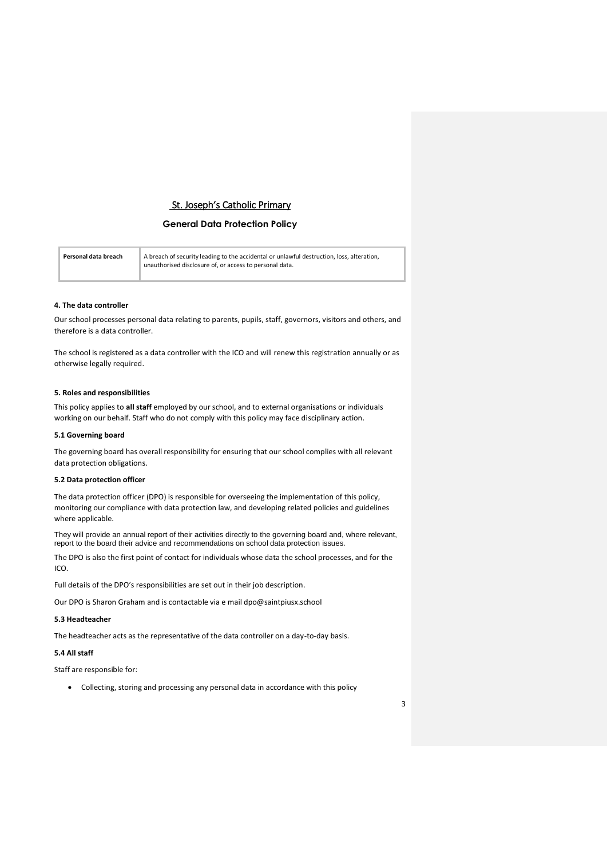## **General Data Protection Policy**

| Personal data breach | A breach of security leading to the accidental or unlawful destruction, loss, alteration,<br>unauthorised disclosure of, or access to personal data. |
|----------------------|------------------------------------------------------------------------------------------------------------------------------------------------------|
|----------------------|------------------------------------------------------------------------------------------------------------------------------------------------------|

#### **4. The data controller**

Our school processes personal data relating to parents, pupils, staff, governors, visitors and others, and therefore is a data controller.

The school is registered as a data controller with the ICO and will renew this registration annually or as otherwise legally required.

#### **5. Roles and responsibilities**

This policy applies to **all staff** employed by our school, and to external organisations or individuals working on our behalf. Staff who do not comply with this policy may face disciplinary action.

#### **5.1 Governing board**

The governing board has overall responsibility for ensuring that our school complies with all relevant data protection obligations.

#### **5.2 Data protection officer**

The data protection officer (DPO) is responsible for overseeing the implementation of this policy, monitoring our compliance with data protection law, and developing related policies and guidelines where applicable.

They will provide an annual report of their activities directly to the governing board and, where relevant, report to the board their advice and recommendations on school data protection issues.

The DPO is also the first point of contact for individuals whose data the school processes, and for the ICO.

Full details of the DPO's responsibilities are set out in their job description.

Our DPO is Sharon Graham and is contactable via e mail dpo@saintpiusx.school

### **5.3 Headteacher**

The headteacher acts as the representative of the data controller on a day-to-day basis.

## **5.4 All staff**

Staff are responsible for:

Collecting, storing and processing any personal data in accordance with this policy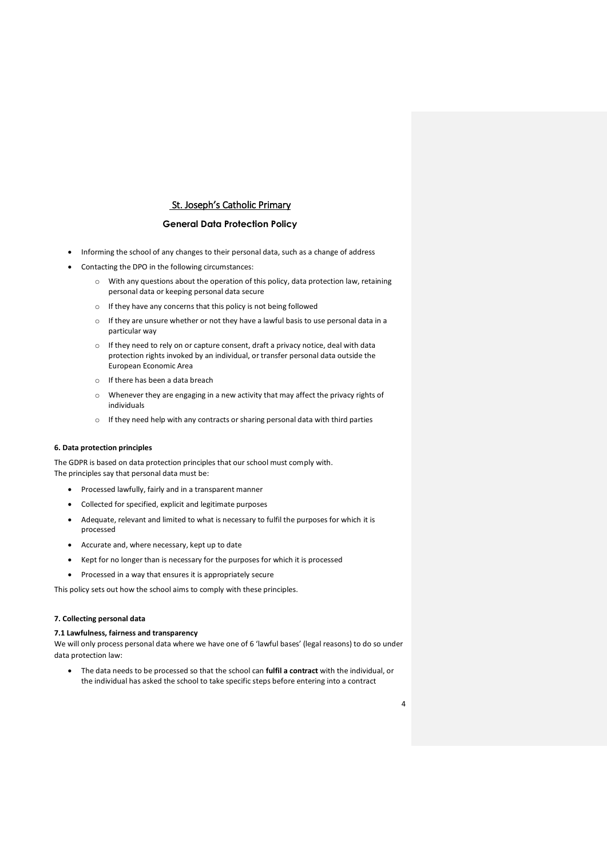### **General Data Protection Policy**

- Informing the school of any changes to their personal data, such as a change of address
- Contacting the DPO in the following circumstances:
	- o With any questions about the operation of this policy, data protection law, retaining personal data or keeping personal data secure
	- o If they have any concerns that this policy is not being followed
	- o If they are unsure whether or not they have a lawful basis to use personal data in a particular way
	- o If they need to rely on or capture consent, draft a privacy notice, deal with data protection rights invoked by an individual, or transfer personal data outside the European Economic Area
	- o If there has been a data breach
	- o Whenever they are engaging in a new activity that may affect the privacy rights of individuals
	- o If they need help with any contracts or sharing personal data with third parties

#### **6. Data protection principles**

The GDPR is based on data protection principles that our school must comply with. The principles say that personal data must be:

- Processed lawfully, fairly and in a transparent manner
- Collected for specified, explicit and legitimate purposes
- Adequate, relevant and limited to what is necessary to fulfil the purposes for which it is processed
- Accurate and, where necessary, kept up to date
- Kept for no longer than is necessary for the purposes for which it is processed
- Processed in a way that ensures it is appropriately secure

This policy sets out how the school aims to comply with these principles.

### **7. Collecting personal data**

### **7.1 Lawfulness, fairness and transparency**

We will only process personal data where we have one of 6 'lawful bases' (legal reasons) to do so under data protection law:

 The data needs to be processed so that the school can **fulfil a contract** with the individual, or the individual has asked the school to take specific steps before entering into a contract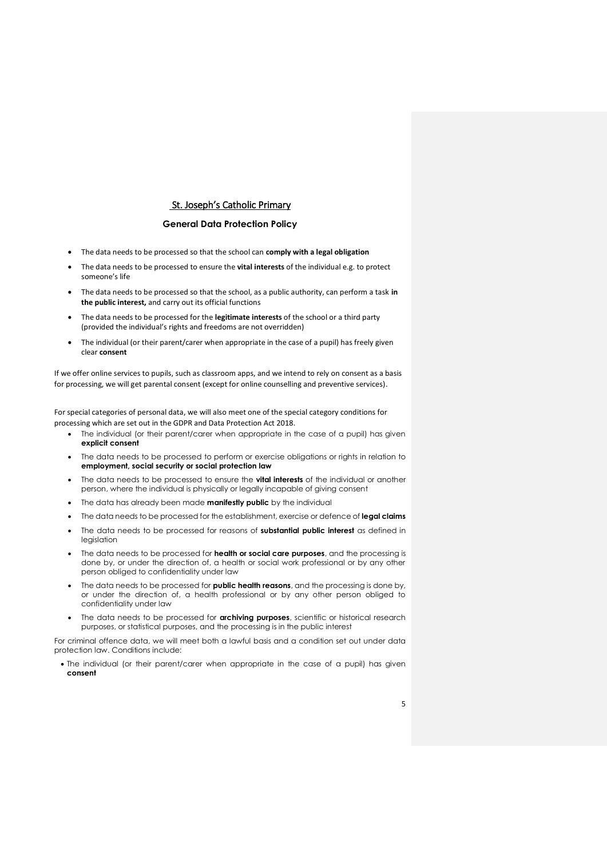### **General Data Protection Policy**

- The data needs to be processed so that the school can **comply with a legal obligation**
- The data needs to be processed to ensure the **vital interests** of the individual e.g. to protect someone's life
- The data needs to be processed so that the school, as a public authority, can perform a task **in the public interest,** and carry out its official functions
- The data needs to be processed for the **legitimate interests** of the school or a third party (provided the individual's rights and freedoms are not overridden)
- The individual (or their parent/carer when appropriate in the case of a pupil) has freely given clear **consent**

If we offer online services to pupils, such as classroom apps, and we intend to rely on consent as a basis for processing, we will get parental consent (except for online counselling and preventive services).

For special categories of personal data, we will also meet one of the special category conditions for processing which are set out in the GDPR and Data Protection Act 2018.

- The individual (or their parent/carer when appropriate in the case of a pupil) has given **explicit consent**
- The data needs to be processed to perform or exercise obligations or rights in relation to **employment, social security or social protection law**
- The data needs to be processed to ensure the **vital interests** of the individual or another person, where the individual is physically or legally incapable of giving consent
- The data has already been made **manifestly public** by the individual
- The data needs to be processed for the establishment, exercise or defence of **legal claims**
- The data needs to be processed for reasons of **substantial public interest** as defined in legislation
- The data needs to be processed for **health or social care purposes**, and the processing is done by, or under the direction of, a health or social work professional or by any other person obliged to confidentiality under law
- The data needs to be processed for **public health reasons**, and the processing is done by, or under the direction of, a health professional or by any other person obliged to confidentiality under law
- The data needs to be processed for **archiving purposes**, scientific or historical research purposes, or statistical purposes, and the processing is in the public interest

For criminal offence data, we will meet both a lawful basis and a condition set out under data protection law. Conditions include:

 The individual (or their parent/carer when appropriate in the case of a pupil) has given **consent**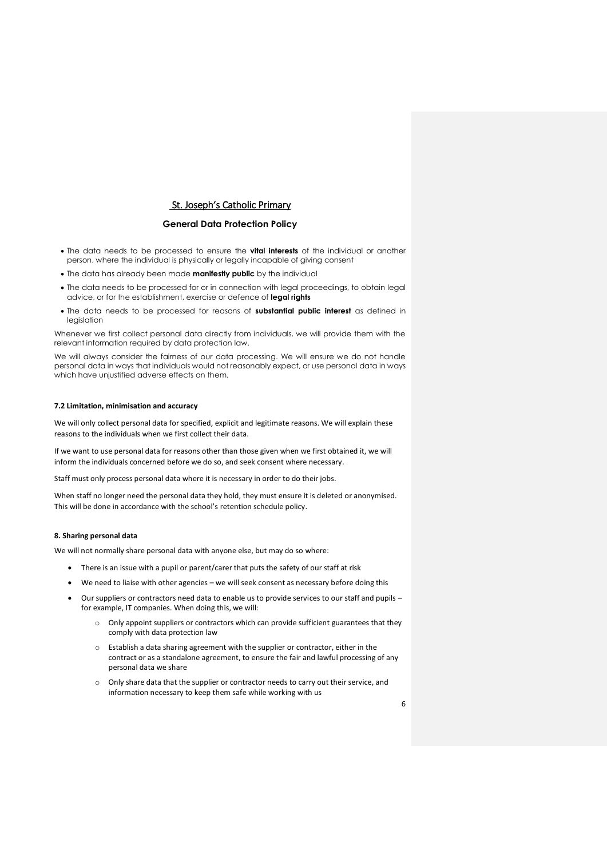#### **General Data Protection Policy**

- The data needs to be processed to ensure the **vital interests** of the individual or another person, where the individual is physically or legally incapable of giving consent
- The data has already been made **manifestly public** by the individual
- The data needs to be processed for or in connection with legal proceedings, to obtain legal advice, or for the establishment, exercise or defence of **legal rights**
- The data needs to be processed for reasons of **substantial public interest** as defined in legislation

Whenever we first collect personal data directly from individuals, we will provide them with the relevant information required by data protection law.

We will always consider the fairness of our data processing. We will ensure we do not handle personal data in ways that individuals would not reasonably expect, or use personal data in ways which have unjustified adverse effects on them.

### **7.2 Limitation, minimisation and accuracy**

We will only collect personal data for specified, explicit and legitimate reasons. We will explain these reasons to the individuals when we first collect their data.

If we want to use personal data for reasons other than those given when we first obtained it, we will inform the individuals concerned before we do so, and seek consent where necessary.

Staff must only process personal data where it is necessary in order to do their jobs.

When staff no longer need the personal data they hold, they must ensure it is deleted or anonymised. This will be done in accordance with the school's retention schedule policy.

### **8. Sharing personal data**

We will not normally share personal data with anyone else, but may do so where:

- There is an issue with a pupil or parent/carer that puts the safety of our staff at risk
- We need to liaise with other agencies we will seek consent as necessary before doing this
- Our suppliers or contractors need data to enable us to provide services to our staff and pupils for example, IT companies. When doing this, we will:
	- o Only appoint suppliers or contractors which can provide sufficient guarantees that they comply with data protection law
	- o Establish a data sharing agreement with the supplier or contractor, either in the contract or as a standalone agreement, to ensure the fair and lawful processing of any personal data we share
	- o Only share data that the supplier or contractor needs to carry out their service, and information necessary to keep them safe while working with us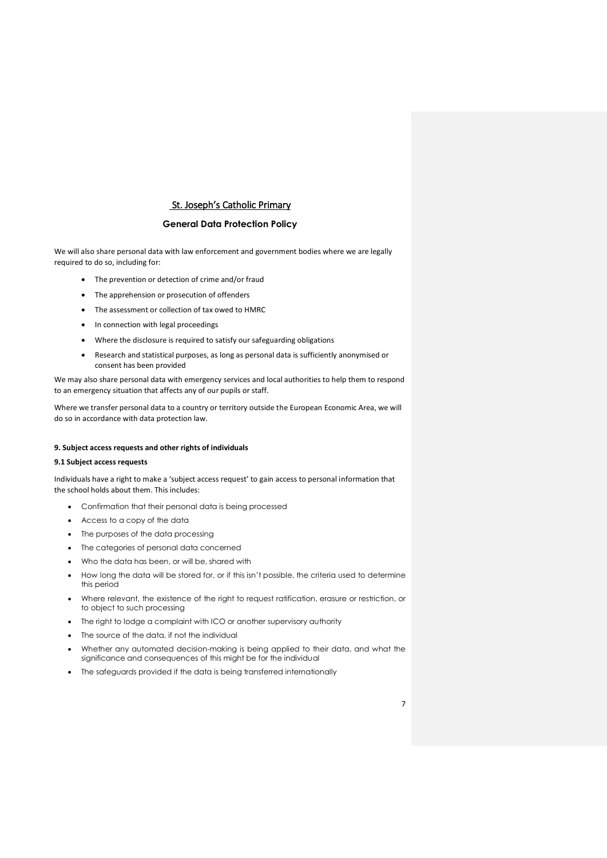### **General Data Protection Policy**

We will also share personal data with law enforcement and government bodies where we are legally required to do so, including for:

- The prevention or detection of crime and/or fraud
- The apprehension or prosecution of offenders
- The assessment or collection of tax owed to HMRC
- In connection with legal proceedings
- Where the disclosure is required to satisfy our safeguarding obligations
- Research and statistical purposes, as long as personal data is sufficiently anonymised or consent has been provided

We may also share personal data with emergency services and local authorities to help them to respond to an emergency situation that affects any of our pupils or staff.

Where we transfer personal data to a country or territory outside the European Economic Area, we will do so in accordance with data protection law.

### **9. Subject access requests and other rights of individuals**

#### **9.1 Subject access requests**

Individuals have a right to make a 'subject access request' to gain access to personal information that the school holds about them. This includes:

- Confirmation that their personal data is being processed
- Access to a copy of the data
- The purposes of the data processing
- The categories of personal data concerned
- Who the data has been, or will be, shared with
- How long the data will be stored for, or if this isn't possible, the criteria used to determine this period
- Where relevant, the existence of the right to request ratification, erasure or restriction, or to object to such processing
- The right to lodge a complaint with ICO or another supervisory authority
- The source of the data, if not the individual
- Whether any automated decision-making is being applied to their data, and what the significance and consequences of this might be for the individual
- The safeguards provided if the data is being transferred internationally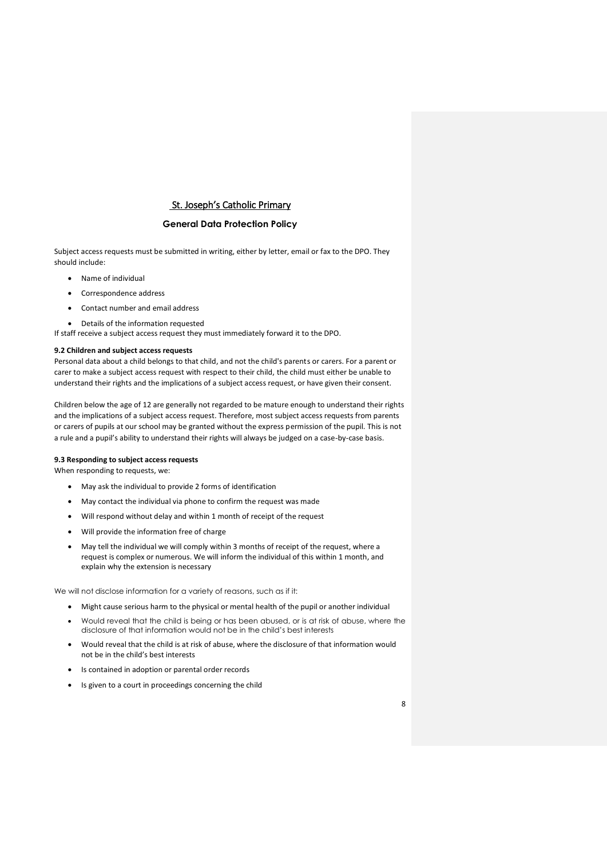### **General Data Protection Policy**

Subject access requests must be submitted in writing, either by letter, email or fax to the DPO. They should include:

- Name of individual
- Correspondence address
- Contact number and email address
- Details of the information requested
- If staff receive a subject access request they must immediately forward it to the DPO.

#### **9.2 Children and subject access requests**

Personal data about a child belongs to that child, and not the child's parents or carers. For a parent or carer to make a subject access request with respect to their child, the child must either be unable to understand their rights and the implications of a subject access request, or have given their consent.

Children below the age of 12 are generally not regarded to be mature enough to understand their rights and the implications of a subject access request. Therefore, most subject access requests from parents or carers of pupils at our school may be granted without the express permission of the pupil. This is not a rule and a pupil's ability to understand their rights will always be judged on a case-by-case basis.

### **9.3 Responding to subject access requests**

When responding to requests, we:

- May ask the individual to provide 2 forms of identification
- May contact the individual via phone to confirm the request was made
- Will respond without delay and within 1 month of receipt of the request
- Will provide the information free of charge
- May tell the individual we will comply within 3 months of receipt of the request, where a request is complex or numerous. We will inform the individual of this within 1 month, and explain why the extension is necessary

We will not disclose information for a variety of reasons, such as if it:

- Might cause serious harm to the physical or mental health of the pupil or another individual
- Would reveal that the child is being or has been abused, or is at risk of abuse, where the disclosure of that information would not be in the child's best interests
- Would reveal that the child is at risk of abuse, where the disclosure of that information would not be in the child's best interests
- Is contained in adoption or parental order records
- Is given to a court in proceedings concerning the child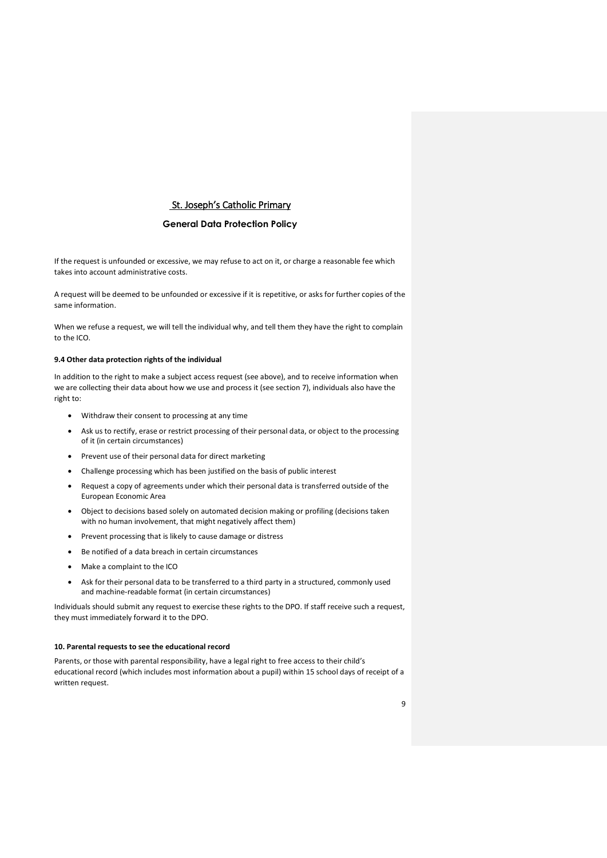### **General Data Protection Policy**

If the request is unfounded or excessive, we may refuse to act on it, or charge a reasonable fee which takes into account administrative costs.

A request will be deemed to be unfounded or excessive if it is repetitive, or asks for further copies of the same information.

When we refuse a request, we will tell the individual why, and tell them they have the right to complain to the ICO.

#### **9.4 Other data protection rights of the individual**

In addition to the right to make a subject access request (see above), and to receive information when we are collecting their data about how we use and process it (see section 7), individuals also have the right to:

- Withdraw their consent to processing at any time
- Ask us to rectify, erase or restrict processing of their personal data, or object to the processing of it (in certain circumstances)
- Prevent use of their personal data for direct marketing
- Challenge processing which has been justified on the basis of public interest
- Request a copy of agreements under which their personal data is transferred outside of the European Economic Area
- Object to decisions based solely on automated decision making or profiling (decisions taken with no human involvement, that might negatively affect them)
- Prevent processing that is likely to cause damage or distress
- Be notified of a data breach in certain circumstances
- Make a complaint to the ICO
- Ask for their personal data to be transferred to a third party in a structured, commonly used and machine-readable format (in certain circumstances)

Individuals should submit any request to exercise these rights to the DPO. If staff receive such a request, they must immediately forward it to the DPO.

#### **10. Parental requests to see the educational record**

Parents, or those with parental responsibility, have a legal right to free access to their child's educational record (which includes most information about a pupil) within 15 school days of receipt of a written request.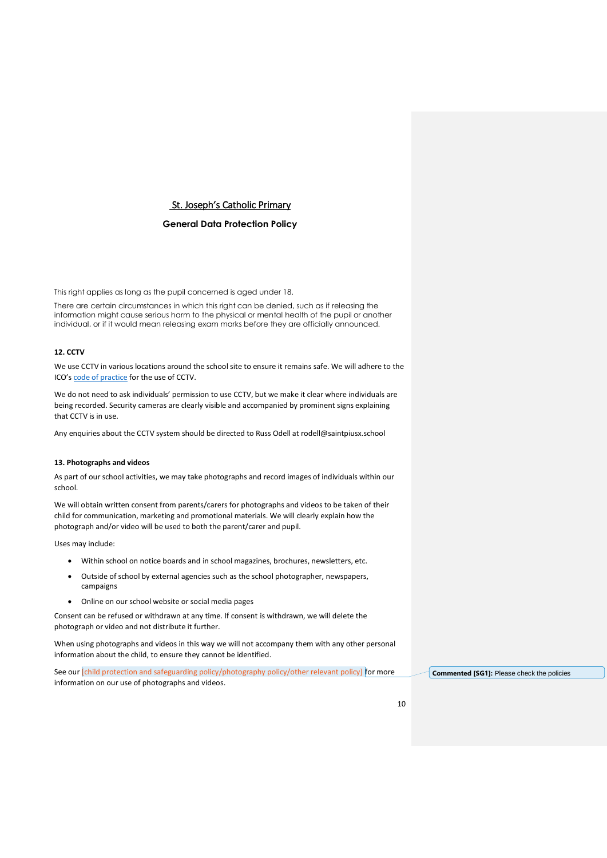## **General Data Protection Policy**

This right applies as long as the pupil concerned is aged under 18.

There are certain circumstances in which this right can be denied, such as if releasing the information might cause serious harm to the physical or mental health of the pupil or another individual, or if it would mean releasing exam marks before they are officially announced.

### **12. CCTV**

We use CCTV in various locations around the school site to ensure it remains safe. We will adhere to the ICO's [code of practice](https://ico.org.uk/media/for-organisations/documents/1542/cctv-code-of-practice.pdf) for the use of CCTV.

We do not need to ask individuals' permission to use CCTV, but we make it clear where individuals are being recorded. Security cameras are clearly visible and accompanied by prominent signs explaining that CCTV is in use.

Any enquiries about the CCTV system should be directed to Russ Odell at rodell@saintpiusx.school

#### **13. Photographs and videos**

As part of our school activities, we may take photographs and record images of individuals within our school.

We will obtain written consent from parents/carers for photographs and videos to be taken of their child for communication, marketing and promotional materials. We will clearly explain how the photograph and/or video will be used to both the parent/carer and pupil.

Uses may include:

- Within school on notice boards and in school magazines, brochures, newsletters, etc.
- Outside of school by external agencies such as the school photographer, newspapers, campaigns
- Online on our school website or social media pages

Consent can be refused or withdrawn at any time. If consent is withdrawn, we will delete the photograph or video and not distribute it further.

When using photographs and videos in this way we will not accompany them with any other personal information about the child, to ensure they cannot be identified.

See our *[child protection and safeguarding policy/photography policy/other relevant policy]* for more information on our use of photographs and videos.

**Commented [SG1]:** Please check the policies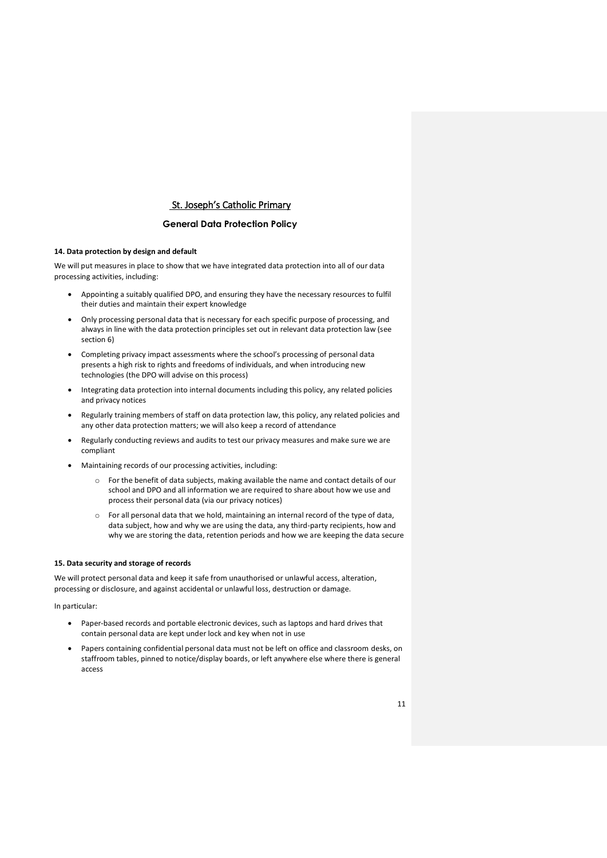### **General Data Protection Policy**

## **14. Data protection by design and default**

We will put measures in place to show that we have integrated data protection into all of our data processing activities, including:

- Appointing a suitably qualified DPO, and ensuring they have the necessary resources to fulfil their duties and maintain their expert knowledge
- Only processing personal data that is necessary for each specific purpose of processing, and always in line with the data protection principles set out in relevant data protection law (see section 6)
- Completing privacy impact assessments where the school's processing of personal data presents a high risk to rights and freedoms of individuals, and when introducing new technologies (the DPO will advise on this process)
- Integrating data protection into internal documents including this policy, any related policies and privacy notices
- Regularly training members of staff on data protection law, this policy, any related policies and any other data protection matters; we will also keep a record of attendance
- Regularly conducting reviews and audits to test our privacy measures and make sure we are compliant
- Maintaining records of our processing activities, including:
	- o For the benefit of data subjects, making available the name and contact details of our school and DPO and all information we are required to share about how we use and process their personal data (via our privacy notices)
	- o For all personal data that we hold, maintaining an internal record of the type of data, data subject, how and why we are using the data, any third-party recipients, how and why we are storing the data, retention periods and how we are keeping the data secure

### **15. Data security and storage of records**

We will protect personal data and keep it safe from unauthorised or unlawful access, alteration, processing or disclosure, and against accidental or unlawful loss, destruction or damage.

In particular:

- Paper-based records and portable electronic devices, such as laptops and hard drives that contain personal data are kept under lock and key when not in use
- Papers containing confidential personal data must not be left on office and classroom desks, on staffroom tables, pinned to notice/display boards, or left anywhere else where there is general access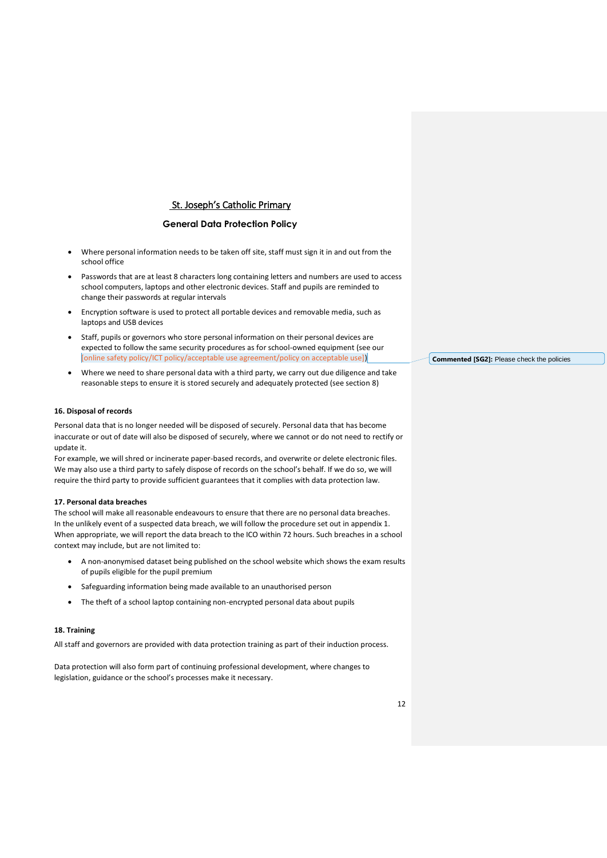### **General Data Protection Policy**

- Where personal information needs to be taken off site, staff must sign it in and out from the school office
- Passwords that are at least 8 characters long containing letters and numbers are used to access school computers, laptops and other electronic devices. Staff and pupils are reminded to change their passwords at regular intervals
- Encryption software is used to protect all portable devices and removable media, such as laptops and USB devices
- Staff, pupils or governors who store personal information on their personal devices are expected to follow the same security procedures as for school-owned equipment (see our [online safety policy/ICT policy/acceptable use agreement/policy on acceptable use])
- Where we need to share personal data with a third party, we carry out due diligence and take reasonable steps to ensure it is stored securely and adequately protected (see section 8)

#### **16. Disposal of records**

Personal data that is no longer needed will be disposed of securely. Personal data that has become inaccurate or out of date will also be disposed of securely, where we cannot or do not need to rectify or update it.

For example, we will shred or incinerate paper-based records, and overwrite or delete electronic files. We may also use a third party to safely dispose of records on the school's behalf. If we do so, we will require the third party to provide sufficient guarantees that it complies with data protection law.

#### **17. Personal data breaches**

The school will make all reasonable endeavours to ensure that there are no personal data breaches. In the unlikely event of a suspected data breach, we will follow the procedure set out in appendix 1. When appropriate, we will report the data breach to the ICO within 72 hours. Such breaches in a school context may include, but are not limited to:

- A non-anonymised dataset being published on the school website which shows the exam results of pupils eligible for the pupil premium
- Safeguarding information being made available to an unauthorised person
- The theft of a school laptop containing non-encrypted personal data about pupils

### **18. Training**

All staff and governors are provided with data protection training as part of their induction process.

Data protection will also form part of continuing professional development, where changes to legislation, guidance or the school's processes make it necessary.

**Commented [SG2]:** Please check the policies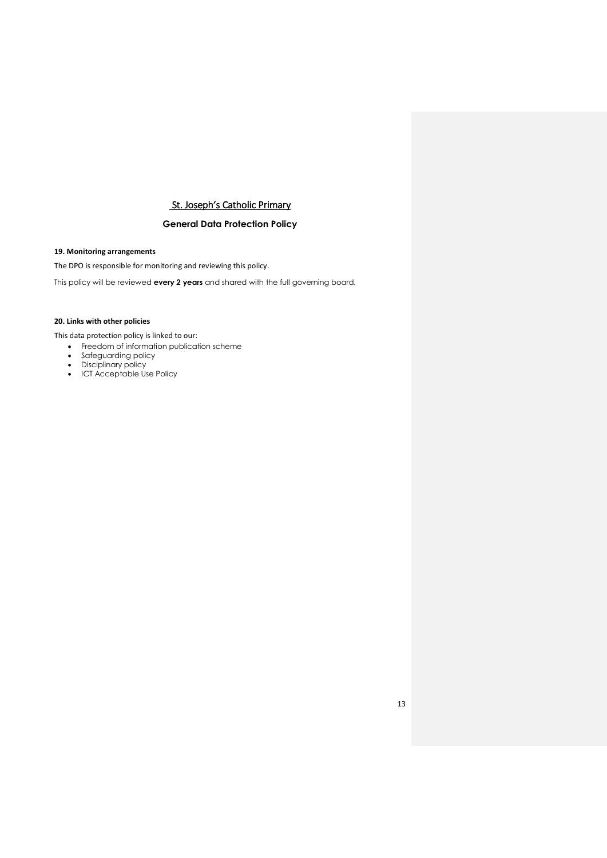## **General Data Protection Policy**

## **19. Monitoring arrangements**

The DPO is responsible for monitoring and reviewing this policy.

This policy will be reviewed **every 2 years** and shared with the full governing board.

## **20. Links with other policies**

This data protection policy is linked to our:

- Freedom of information publication scheme
- Safeguarding policy
- Disciplinary policy
- ICT Acceptable Use Policy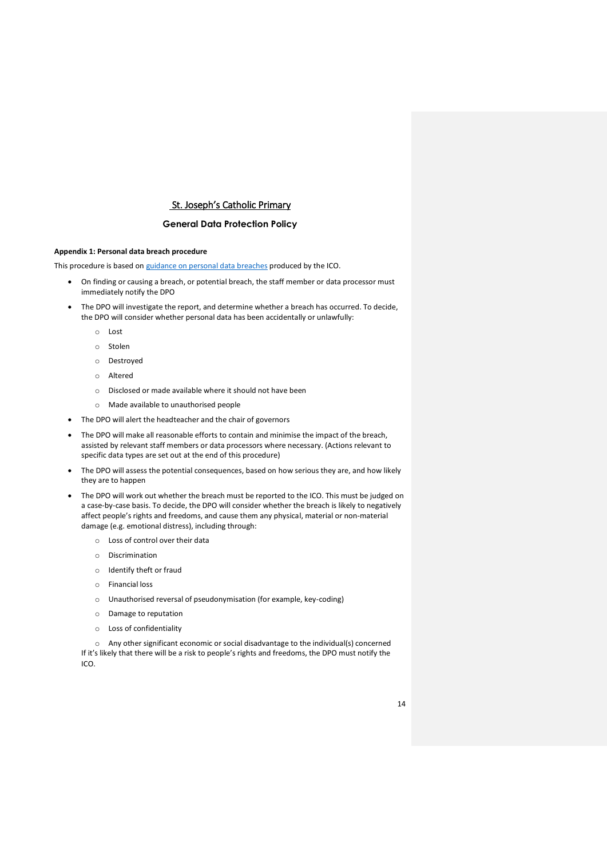### **General Data Protection Policy**

### **Appendix 1: Personal data breach procedure**

This procedure is based on [guidance on personal data breaches](https://ico.org.uk/for-organisations/guide-to-the-general-data-protection-regulation-gdpr/personal-data-breaches/) produced by the ICO.

- On finding or causing a breach, or potential breach, the staff member or data processor must immediately notify the DPO
- The DPO will investigate the report, and determine whether a breach has occurred. To decide, the DPO will consider whether personal data has been accidentally or unlawfully:
	- o Lost
	- o Stolen
	- o Destroyed
	- o Altered
	- o Disclosed or made available where it should not have been
	- o Made available to unauthorised people
- The DPO will alert the headteacher and the chair of governors
- The DPO will make all reasonable efforts to contain and minimise the impact of the breach, assisted by relevant staff members or data processors where necessary. (Actions relevant to specific data types are set out at the end of this procedure)
- The DPO will assess the potential consequences, based on how serious they are, and how likely they are to happen
- The DPO will work out whether the breach must be reported to the ICO. This must be judged on a case-by-case basis. To decide, the DPO will consider whether the breach is likely to negatively affect people's rights and freedoms, and cause them any physical, material or non-material damage (e.g. emotional distress), including through:
	- o Loss of control over their data
	- o Discrimination
	- o Identify theft or fraud
	- o Financial loss
	- o Unauthorised reversal of pseudonymisation (for example, key-coding)
	- o Damage to reputation
	- o Loss of confidentiality

o Any other significant economic or social disadvantage to the individual(s) concerned If it's likely that there will be a risk to people's rights and freedoms, the DPO must notify the ICO.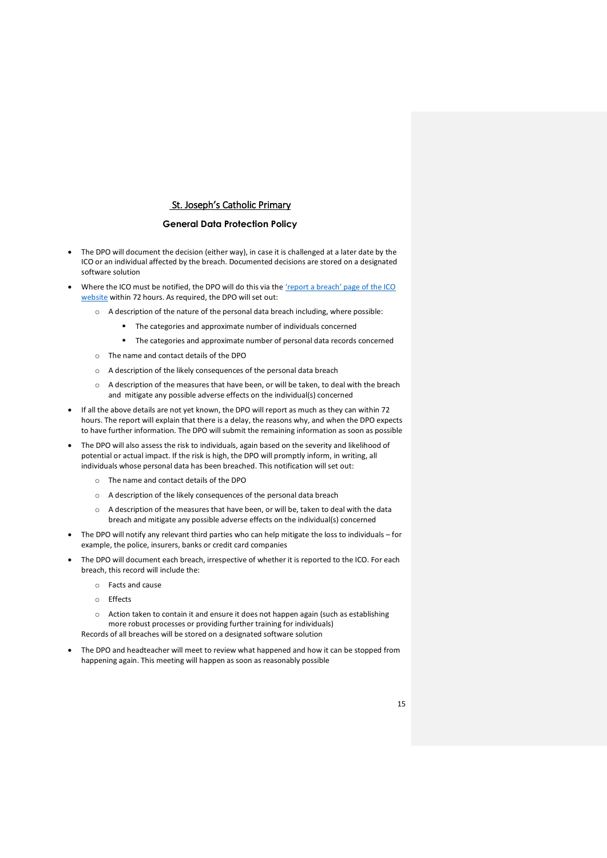### **General Data Protection Policy**

- The DPO will document the decision (either way), in case it is challenged at a later date by the ICO or an individual affected by the breach. Documented decisions are stored on a designated software solution
- Where the ICO must be notified, the DPO will do this via the 'report a breach' page of the ICO [website](https://ico.org.uk/for-organisations/report-a-breach/) within 72 hours. As required, the DPO will set out:
	- o A description of the nature of the personal data breach including, where possible:
		- The categories and approximate number of individuals concerned
		- The categories and approximate number of personal data records concerned
	- o The name and contact details of the DPO
	- o A description of the likely consequences of the personal data breach
	- o A description of the measures that have been, or will be taken, to deal with the breach and mitigate any possible adverse effects on the individual(s) concerned
- If all the above details are not yet known, the DPO will report as much as they can within 72 hours. The report will explain that there is a delay, the reasons why, and when the DPO expects to have further information. The DPO will submit the remaining information as soon as possible
- The DPO will also assess the risk to individuals, again based on the severity and likelihood of potential or actual impact. If the risk is high, the DPO will promptly inform, in writing, all individuals whose personal data has been breached. This notification will set out:
	- o The name and contact details of the DPO
	- o A description of the likely consequences of the personal data breach
	- o A description of the measures that have been, or will be, taken to deal with the data breach and mitigate any possible adverse effects on the individual(s) concerned
- The DPO will notify any relevant third parties who can help mitigate the loss to individuals for example, the police, insurers, banks or credit card companies
- The DPO will document each breach, irrespective of whether it is reported to the ICO. For each breach, this record will include the:
	- o Facts and cause
	- o Effects
	- o Action taken to contain it and ensure it does not happen again (such as establishing more robust processes or providing further training for individuals)

Records of all breaches will be stored on a designated software solution

 The DPO and headteacher will meet to review what happened and how it can be stopped from happening again. This meeting will happen as soon as reasonably possible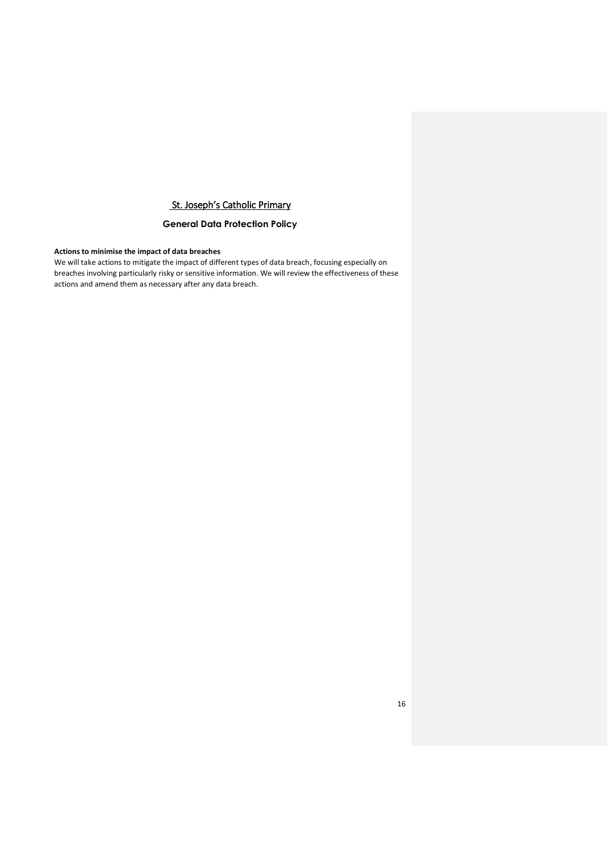## **General Data Protection Policy**

## **Actions to minimise the impact of data breaches**

We will take actions to mitigate the impact of different types of data breach, focusing especially on breaches involving particularly risky or sensitive information. We will review the effectiveness of these actions and amend them as necessary after any data breach.